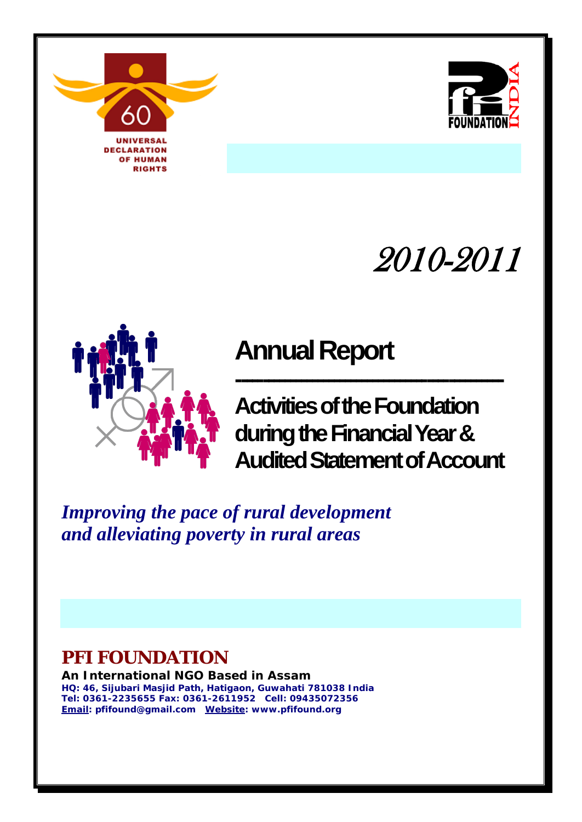



# 2010-2011



**------------------------------------------------- Activities of the Foundation during the Financial Year & Audited Statement of Account**

*Improving the pace of rural development and alleviating poverty in rural areas*

# **PFI FOUNDATION**

**An International NGO Based in Assam HQ: 46, Sijubari Masjid Path, Hatigaon, Guwahati 781038 India Tel: 0361-2235655 Fax: 0361-2611952 Cell: 09435072356 Email: pfifound@gmail.com Website: www.pfifound.org**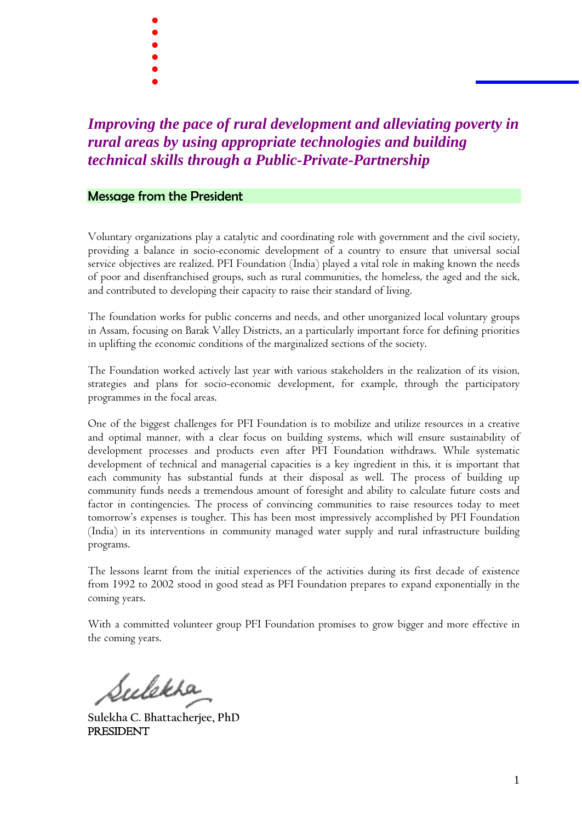- . .<br>.<br>. .<br>.<br>. .<br>.<br>.
- 
- .<br>.<br>. .<br>.<br>.
- 

# *Improving the pace of rural development and alleviating poverty in rural areas by using appropriate technologies and building technical skills through a Public-Private-Partnership*

#### Message from the President

Voluntary organizations play a catalytic and coordinating role with government and the civil society, providing a balance in socio-economic development of a country to ensure that universal social service objectives are realized. PFI Foundation (India) played a vital role in making known the needs of poor and disenfranchised groups, such as rural communities, the homeless, the aged and the sick, and contributed to developing their capacity to raise their standard of living.

The foundation works for public concerns and needs, and other unorganized local voluntary groups in Assam, focusing on Barak Valley Districts, an a particularly important force for defining priorities in uplifting the economic conditions of the marginalized sections of the society.

The Foundation worked actively last year with various stakeholders in the realization of its vision, strategies and plans for socio-economic development, for example, through the participatory programmes in the focal areas.

One of the biggest challenges for PFI Foundation is to mobilize and utilize resources in a creative and optimal manner, with a clear focus on building systems, which will ensure sustainability of development processes and products even after PFI Foundation withdraws. While systematic development of technical and managerial capacities is a key ingredient in this, it is important that each community has substantial funds at their disposal as well. The process of building up community funds needs a tremendous amount of foresight and ability to calculate future costs and factor in contingencies. The process of convincing communities to raise resources today to meet tomorrow's expenses is tougher. This has been most impressively accomplished by PFI Foundation (India) in its interventions in community managed water supply and rural infrastructure building programs.

The lessons learnt from the initial experiences of the activities during its first decade of existence from 1992 to 2002 stood in good stead as PFI Foundation prepares to expand exponentially in the coming years.

With a committed volunteer group PFI Foundation promises to grow bigger and more effective in the coming years.

Sulekha

**Sulekha C. Bhattacherjee, PhD** PRESIDENT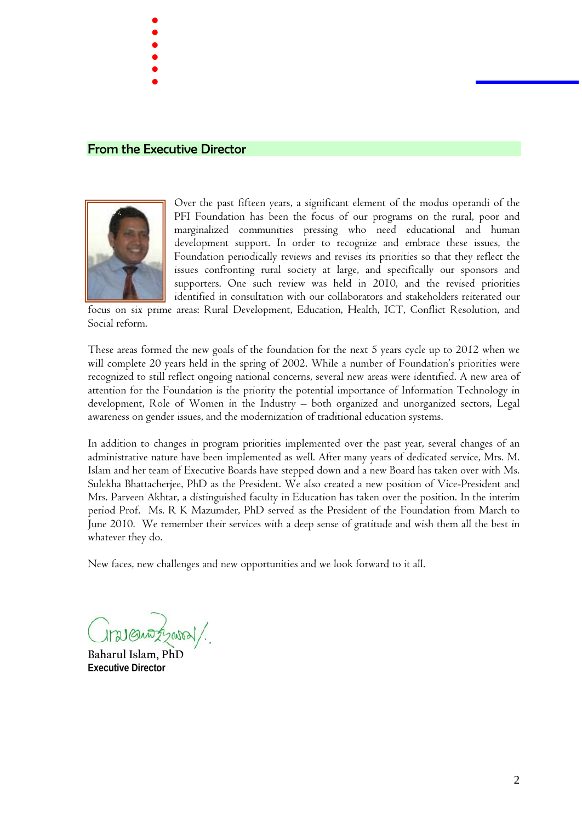From the Executive Director

. .<br>.<br>. .<br>.<br>. .<br>.<br>. .<br>.<br>. .<br>.<br>.



Over the past fifteen years, a significant element of the modus operandi of the PFI Foundation has been the focus of our programs on the rural, poor and marginalized communities pressing who need educational and human development support. In order to recognize and embrace these issues, the Foundation periodically reviews and revises its priorities so that they reflect the issues confronting rural society at large, and specifically our sponsors and supporters. One such review was held in 2010, and the revised priorities identified in consultation with our collaborators and stakeholders reiterated our

focus on six prime areas: Rural Development, Education, Health, ICT, Conflict Resolution, and Social reform.

These areas formed the new goals of the foundation for the next 5 years cycle up to 2012 when we will complete 20 years held in the spring of 2002. While a number of Foundation's priorities were recognized to still reflect ongoing national concerns, several new areas were identified. A new area of attention for the Foundation is the priority the potential importance of Information Technology in development, Role of Women in the Industry – both organized and unorganized sectors, Legal awareness on gender issues, and the modernization of traditional education systems.

In addition to changes in program priorities implemented over the past year, several changes of an administrative nature have been implemented as well. After many years of dedicated service, Mrs. M. Islam and her team of Executive Boards have stepped down and a new Board has taken over with Ms. Sulekha Bhattacherjee, PhD as the President. We also created a new position of Vice-President and Mrs. Parveen Akhtar, a distinguished faculty in Education has taken over the position. In the interim period Prof. Ms. R K Mazumder, PhD served as the President of the Foundation from March to June 2010. We remember their services with a deep sense of gratitude and wish them all the best in whatever they do.

New faces, new challenges and new opportunities and we look forward to it all.

121 Quizzatal.

**Baharul Islam, PhD Executive Director**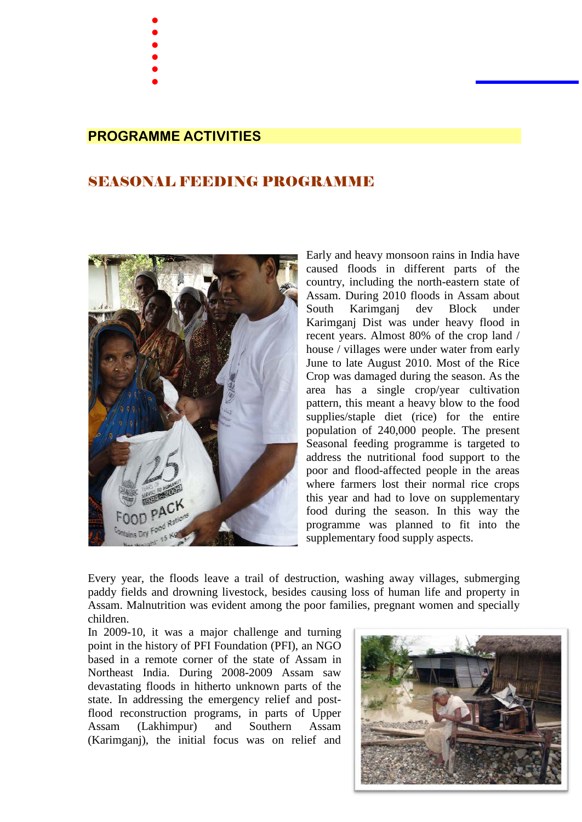- . .<br>.<br>.
- .<br>.<br>.
- .<br>.<br>.
- .<br>.<br>. .<br>.<br>.
- 

### **PROGRAMME ACTIVITIES**

## SEASONAL FEEDING PROGRAMME



Early and heavy monsoon rains in India have caused floods in different parts of the country, including the north-eastern state of Assam. During 2010 floods in Assam about South Karimganj dev Block under Karimganj Dist was under heavy flood in recent years. Almost 80% of the crop land / house / villages were under water from early June to late August 2010. Most of the Rice Crop was damaged during the season. As the area has a single crop/year cultivation pattern, this meant a heavy blow to the food supplies/staple diet (rice) for the entire population of 240,000 people. The present Seasonal feeding programme is targeted to address the nutritional food support to the poor and flood-affected people in the areas where farmers lost their normal rice crops this year and had to love on supplementary food during the season. In this way the programme was planned to fit into the supplementary food supply aspects.

Every year, the floods leave a trail of destruction, washing away villages, submerging paddy fields and drowning livestock, besides causing loss of human life and property in Assam. Malnutrition was evident among the poor families, pregnant women and specially children.

In 2009-10, it was a major challenge and turning point in the history of PFI Foundation (PFI), an NGO based in a remote corner of the state of Assam in Northeast India. During 2008-2009 Assam saw devastating floods in hitherto unknown parts of the state. In addressing the emergency relief and postflood reconstruction programs, in parts of Upper Assam (Lakhimpur) and Southern Assam (Karimganj), the initial focus was on relief and

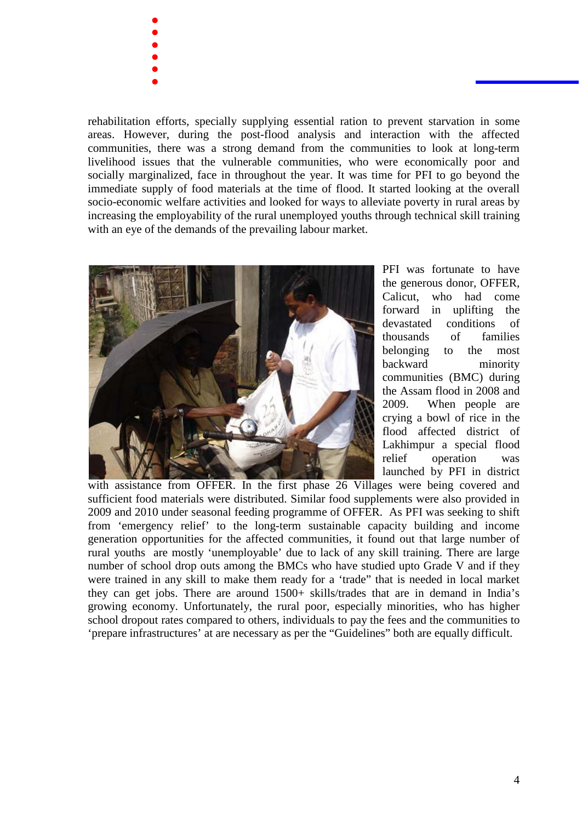- . .<br>.<br>. .<br>.<br>. .<br>.<br>. .<br>.<br>. .<br>.<br>.
- 

rehabilitation efforts, specially supplying essential ration to prevent starvation in some areas. However, during the post-flood analysis and interaction with the affected communities, there was a strong demand from the communities to look at long-term livelihood issues that the vulnerable communities, who were economically poor and socially marginalized, face in throughout the year. It was time for PFI to go beyond the immediate supply of food materials at the time of flood. It started looking at the overall socio-economic welfare activities and looked for ways to alleviate poverty in rural areas by increasing the employability of the rural unemployed youths through technical skill training with an eye of the demands of the prevailing labour market.



PFI was fortunate to have the generous donor, OFFER, Calicut, who had come forward in uplifting the devastated conditions of thousands of families belonging to the most backward minority communities (BMC) during the Assam flood in 2008 and 2009. When people are crying a bowl of rice in the flood affected district of Lakhimpur a special flood relief operation was launched by PFI in district

with assistance from OFFER. In the first phase 26 Villages were being covered and sufficient food materials were distributed. Similar food supplements were also provided in 2009 and 2010 under seasonal feeding programme of OFFER. As PFI was seeking to shift from 'emergency relief' to the long-term sustainable capacity building and income generation opportunities for the affected communities, it found out that large number of rural youths are mostly 'unemployable' due to lack of any skill training. There are large number of school drop outs among the BMCs who have studied upto Grade V and if they were trained in any skill to make them ready for a 'trade" that is needed in local market they can get jobs. There are around 1500+ skills/trades that are in demand in India's growing economy. Unfortunately, the rural poor, especially minorities, who has higher school dropout rates compared to others, individuals to pay the fees and the communities to 'prepare infrastructures' at are necessary as per the "Guidelines" both are equally difficult.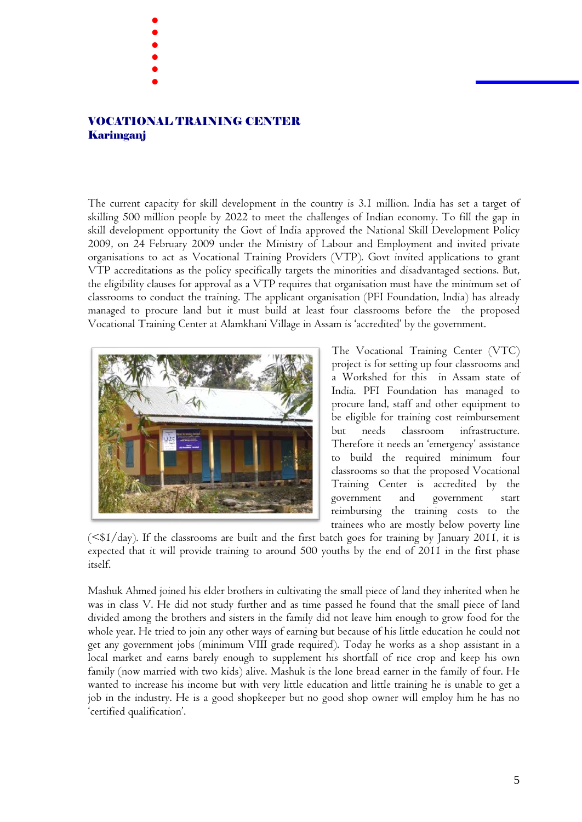VOCATIONAL TRAINING CENTER Karimganj

. .<br>.<br>. .<br>.<br>. .<br>.<br>. .<br>.<br>. .<br>.<br>.

The current capacity for skill development in the country is 3.1 million. India has set a target of skilling 500 million people by 2022 to meet the challenges of Indian economy. To fill the gap in skill development opportunity the Govt of India approved the National Skill Development Policy 2009, on 24 February 2009 under the Ministry of Labour and Employment and invited private organisations to act as Vocational Training Providers (VTP). Govt invited applications to grant VTP accreditations as the policy specifically targets the minorities and disadvantaged sections. But, the eligibility clauses for approval as a VTP requires that organisation must have the minimum set of classrooms to conduct the training. The applicant organisation (PFI Foundation, India) has already managed to procure land but it must build at least four classrooms before the the proposed Vocational Training Center at Alamkhani Village in Assam is 'accredited' by the government.



The Vocational Training Center (VTC) project is for setting up four classrooms and a Workshed for this in Assam state of India. PFI Foundation has managed to procure land, staff and other equipment to be eligible for training cost reimbursement but needs classroom infrastructure. Therefore it needs an 'emergency' assistance to build the required minimum four classrooms so that the proposed Vocational Training Center is accredited by the government and government start reimbursing the training costs to the trainees who are mostly below poverty line

 $( $$1/day$ ). If the classrooms are built and the first batch goes for training by January 2011, it is$ expected that it will provide training to around 500 youths by the end of 2011 in the first phase itself.

Mashuk Ahmed joined his elder brothers in cultivating the small piece of land they inherited when he was in class V. He did not study further and as time passed he found that the small piece of land divided among the brothers and sisters in the family did not leave him enough to grow food for the whole year. He tried to join any other ways of earning but because of his little education he could not get any government jobs (minimum VIII grade required). Today he works as a shop assistant in a local market and earns barely enough to supplement his shortfall of rice crop and keep his own family (now married with two kids) alive. Mashuk is the lone bread earner in the family of four. He wanted to increase his income but with very little education and little training he is unable to get a job in the industry. He is a good shopkeeper but no good shop owner will employ him he has no 'certified qualification'.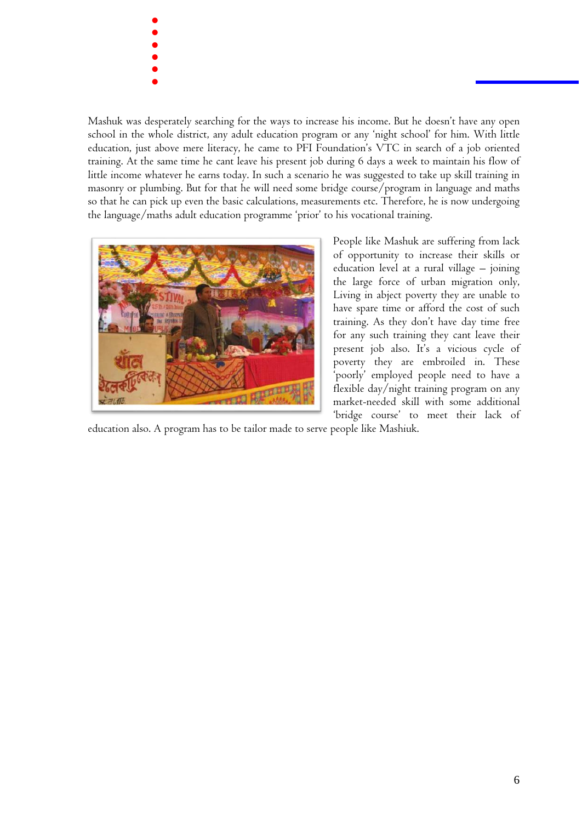. .<br>.<br>. .<br>.<br>. .<br>.<br>. .<br>.<br>. .<br>.<br>.

Mashuk was desperately searching for the ways to increase his income. But he doesn't have any open school in the whole district, any adult education program or any 'night school' for him. With little education, just above mere literacy, he came to PFI Foundation's VTC in search of a job oriented training. At the same time he cant leave his present job during 6 days a week to maintain his flow of little income whatever he earns today. In such a scenario he was suggested to take up skill training in masonry or plumbing. But for that he will need some bridge course/program in language and maths so that he can pick up even the basic calculations, measurements etc. Therefore, he is now undergoing the language/maths adult education programme 'prior' to his vocational training.



People like Mashuk are suffering from lack of opportunity to increase their skills or education level at a rural village – joining the large force of urban migration only, Living in abject poverty they are unable to have spare time or afford the cost of such training. As they don't have day time free for any such training they cant leave their present job also. It's a vicious cycle of poverty they are embroiled in. These 'poorly' employed people need to have a flexible day/night training program on any market-needed skill with some additional 'bridge course' to meet their lack of

education also. A program has to be tailor made to serve people like Mashiuk.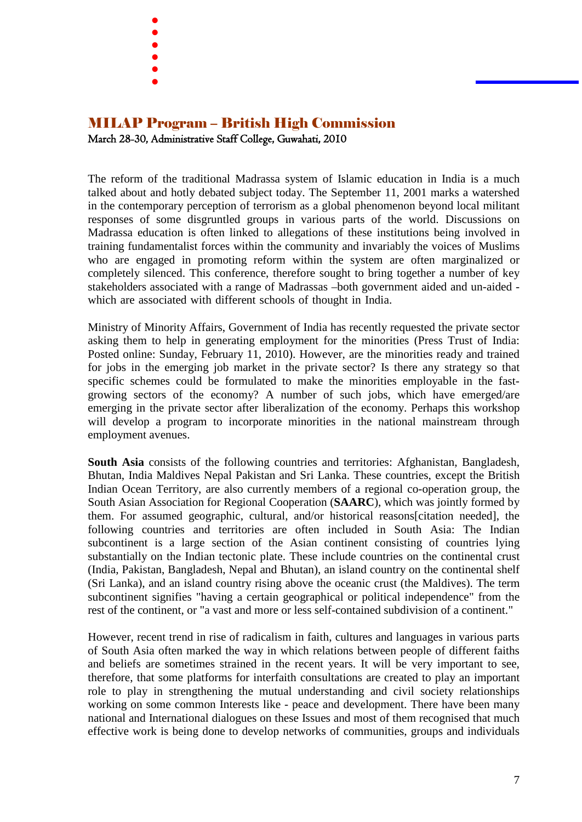- . .<br>.<br>. .<br>.<br>. .<br>.<br>. .<br>.<br>.
- .<br>.<br>.
- 

## MILAP Program – British High Commission March 28-30, Administrative Staff College, Guwahati, 2010

The reform of the traditional Madrassa system of Islamic education in India is a much talked about and hotly debated subject today. The September 11, 2001 marks a watershed in the contemporary perception of terrorism as a global phenomenon beyond local militant responses of some disgruntled groups in various parts of the world. Discussions on Madrassa education is often linked to allegations of these institutions being involved in training fundamentalist forces within the community and invariably the voices of Muslims who are engaged in promoting reform within the system are often marginalized or completely silenced. This conference, therefore sought to bring together a number of key stakeholders associated with a range of Madrassas –both government aided and un-aided which are associated with different schools of thought in India.

Ministry of Minority Affairs, Government of India has recently requested the private sector asking them to help in generating employment for the minorities (Press Trust of India: Posted online: Sunday, February 11, 2010). However, are the minorities ready and trained for jobs in the emerging job market in the private sector? Is there any strategy so that specific schemes could be formulated to make the minorities employable in the fastgrowing sectors of the economy? A number of such jobs, which have emerged/are emerging in the private sector after liberalization of the economy. Perhaps this workshop will develop a program to incorporate minorities in the national mainstream through employment avenues.

**South Asia** consists of the following countries and territories: Afghanistan, Bangladesh, Bhutan, India Maldives Nepal Pakistan and Sri Lanka. These countries, except the British Indian Ocean Territory, are also currently members of a regional co-operation group, the South Asian Association for Regional Cooperation (**SAARC**), which was jointly formed by them. For assumed geographic, cultural, and/or historical reasons[citation needed], the following countries and territories are often included in South Asia: The Indian subcontinent is a large section of the Asian continent consisting of countries lying substantially on the Indian tectonic plate. These include countries on the continental crust (India, Pakistan, Bangladesh, Nepal and Bhutan), an island country on the continental shelf (Sri Lanka), and an island country rising above the oceanic crust (the Maldives). The term subcontinent signifies "having a certain geographical or political independence" from the rest of the continent, or "a vast and more or less self-contained subdivision of a continent."

However, recent trend in rise of radicalism in faith, cultures and languages in various parts of South Asia often marked the way in which relations between people of different faiths and beliefs are sometimes strained in the recent years. It will be very important to see, therefore, that some platforms for interfaith consultations are created to play an important role to play in strengthening the mutual understanding and civil society relationships working on some common Interests like - peace and development. There have been many national and International dialogues on these Issues and most of them recognised that much effective work is being done to develop networks of communities, groups and individuals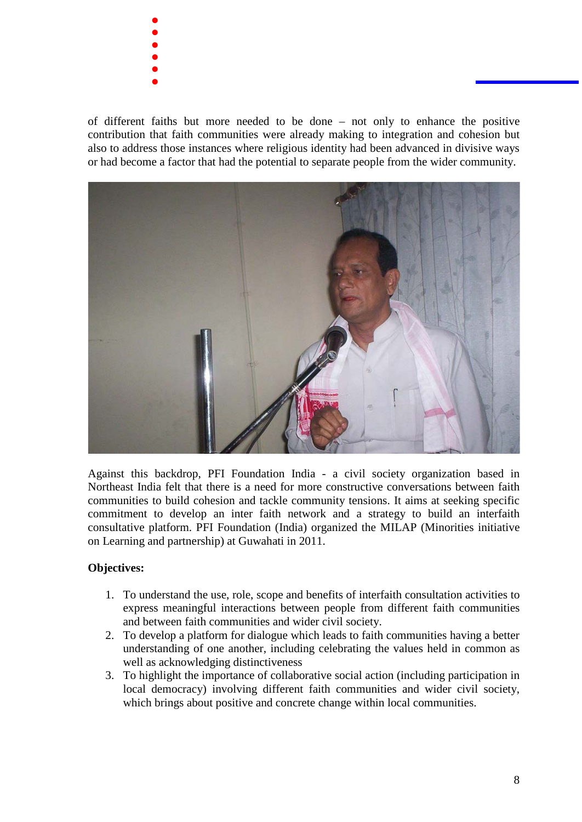- . .<br>.<br>. .<br>.<br>. .<br>.<br>. .<br>.<br>. .<br>.<br>.
- 

of different faiths but more needed to be done – not only to enhance the positive contribution that faith communities were already making to integration and cohesion but also to address those instances where religious identity had been advanced in divisive ways or had become a factor that had the potential to separate people from the wider community.



Against this backdrop, PFI Foundation India - a civil society organization based in Northeast India felt that there is a need for more constructive conversations between faith communities to build cohesion and tackle community tensions. It aims at seeking specific commitment to develop an inter faith network and a strategy to build an interfaith consultative platform. PFI Foundation (India) organized the MILAP (Minorities initiative on Learning and partnership) at Guwahati in 2011.

#### **Objectives:**

- 1. To understand the use, role, scope and benefits of interfaith consultation activities to express meaningful interactions between people from different faith communities and between faith communities and wider civil society.
- 2. To develop a platform for dialogue which leads to faith communities having a better understanding of one another, including celebrating the values held in common as well as acknowledging distinctiveness
- 3. To highlight the importance of collaborative social action (including participation in local democracy) involving different faith communities and wider civil society, which brings about positive and concrete change within local communities.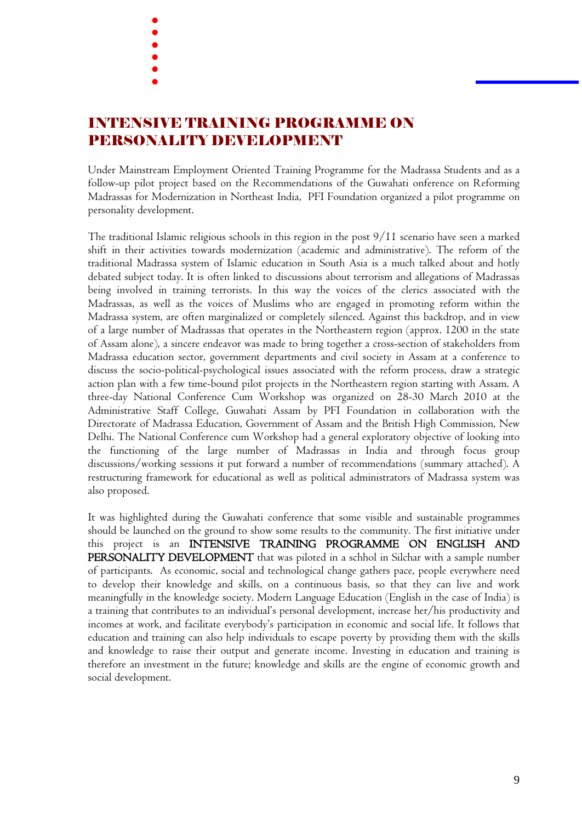- . .<br>.<br>. .<br>.<br>. .<br>.<br>. .<br>.<br>.
- .<br>.<br>.
- 

# INTENSIVE TRAINING PROGRAMME ON PERSONALITY DEVELOPMENT

Under Mainstream Employment Oriented Training Programme for the Madrassa Students and as a follow-up pilot project based on the Recommendations of the Guwahati onference on Reforming Madrassas for Modernization in Northeast India, PFI Foundation organized a pilot programme on personality development.

The traditional Islamic religious schools in this region in the post 9/11 scenario have seen a marked shift in their activities towards modernization (academic and administrative). The reform of the traditional Madrassa system of Islamic education in South Asia is a much talked about and hotly debated subject today. It is often linked to discussions about terrorism and allegations of Madrassas being involved in training terrorists. In this way the voices of the clerics associated with the Madrassas, as well as the voices of Muslims who are engaged in promoting reform within the Madrassa system, are often marginalized or completely silenced. Against this backdrop, and in view of a large number of Madrassas that operates in the Northeastern region (approx. 1200 in the state of Assam alone), a sincere endeavor was made to bring together a cross-section of stakeholders from Madrassa education sector, government departments and civil society in Assam at a conference to discuss the socio-political-psychological issues associated with the reform process, draw a strategic action plan with a few time-bound pilot projects in the Northeastern region starting with Assam. A three-day National Conference Cum Workshop was organized on 28-30 March 2010 at the Administrative Staff College, Guwahati Assam by PFI Foundation in collaboration with the Directorate of Madrassa Education, Government of Assam and the British High Commission, New Delhi. The National Conference cum Workshop had a general exploratory objective of looking into the functioning of the large number of Madrassas in India and through focus group discussions/working sessions it put forward a number of recommendations (summary attached). A restructuring framework for educational as well as political administrators of Madrassa system was also proposed.

It was highlighted during the Guwahati conference that some visible and sustainable programmes should be launched on the ground to show some results to the community. The first initiative under this project is an INTENSIVE TRAINING PROGRAMME ON ENGLISH AND PERSONALITY DEVELOPMENT that was piloted in a schhol in Silchar with a sample number of participants. As economic, social and technological change gathers pace, people everywhere need to develop their knowledge and skills, on a continuous basis, so that they can live and work meaningfully in the knowledge society. Modern Language Education (English in the case of India) is a training that contributes to an individual's personal development, increase her/his productivity and incomes at work, and facilitate everybody's participation in economic and social life. It follows that education and training can also help individuals to escape poverty by providing them with the skills and knowledge to raise their output and generate income. Investing in education and training is therefore an investment in the future; knowledge and skills are the engine of economic growth and social development.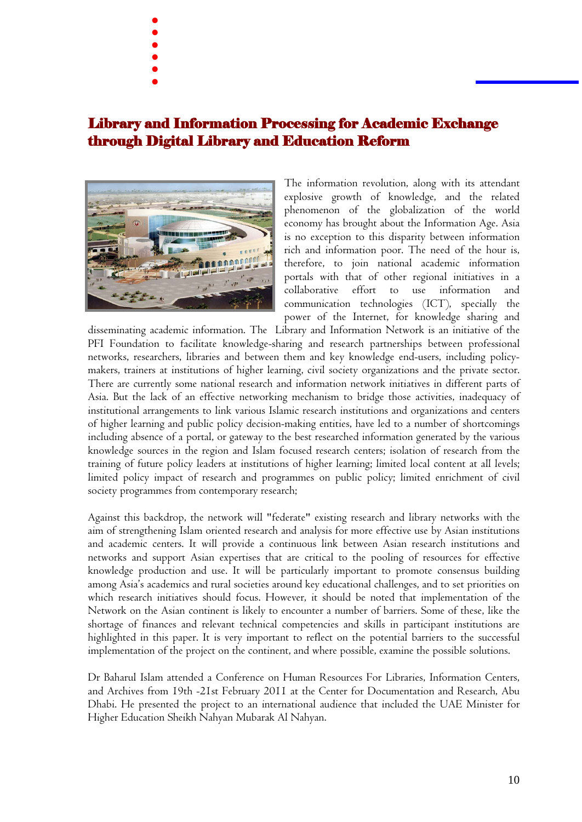- .
- .<br>.<br>. .<br>.<br>.
- .<br>.<br>. .<br>.<br>. .<br>.<br>.
- 
- 

## Library and Information Processing for Academic Exchange through Digital Library and Education Reform



The information revolution, along with its attendant explosive growth of knowledge, and the related phenomenon of the globalization of the world economy has brought about the Information Age. Asia is no exception to this disparity between information rich and information poor. The need of the hour is, therefore, to join national academic information portals with that of other regional initiatives in a collaborative effort to use information and communication technologies (ICT), specially the power of the Internet, for knowledge sharing and

disseminating academic information. The Library and Information Network is an initiative of the PFI Foundation to facilitate knowledge-sharing and research partnerships between professional networks, researchers, libraries and between them and key knowledge end-users, including policymakers, trainers at institutions of higher learning, civil society organizations and the private sector. There are currently some national research and information network initiatives in different parts of Asia. But the lack of an effective networking mechanism to bridge those activities, inadequacy of institutional arrangements to link various Islamic research institutions and organizations and centers of higher learning and public policy decision-making entities, have led to a number of shortcomings including absence of a portal, or gateway to the best researched information generated by the various knowledge sources in the region and Islam focused research centers; isolation of research from the training of future policy leaders at institutions of higher learning; limited local content at all levels; limited policy impact of research and programmes on public policy; limited enrichment of civil society programmes from contemporary research;

Against this backdrop, the network will "federate" existing research and library networks with the aim of strengthening Islam oriented research and analysis for more effective use by Asian institutions and academic centers. It will provide a continuous link between Asian research institutions and networks and support Asian expertises that are critical to the pooling of resources for effective knowledge production and use. It will be particularly important to promote consensus building among Asia's academics and rural societies around key educational challenges, and to set priorities on which research initiatives should focus. However, it should be noted that implementation of the Network on the Asian continent is likely to encounter a number of barriers. Some of these, like the shortage of finances and relevant technical competencies and skills in participant institutions are highlighted in this paper. It is very important to reflect on the potential barriers to the successful implementation of the project on the continent, and where possible, examine the possible solutions.

Dr Baharul Islam attended a Conference on Human Resources For Libraries, Information Centers, and Archives from 19th -21st February 2011 at the Center for Documentation and Research, Abu Dhabi. He presented the project to an international audience that included the UAE Minister for Higher Education Sheikh Nahyan Mubarak Al Nahyan.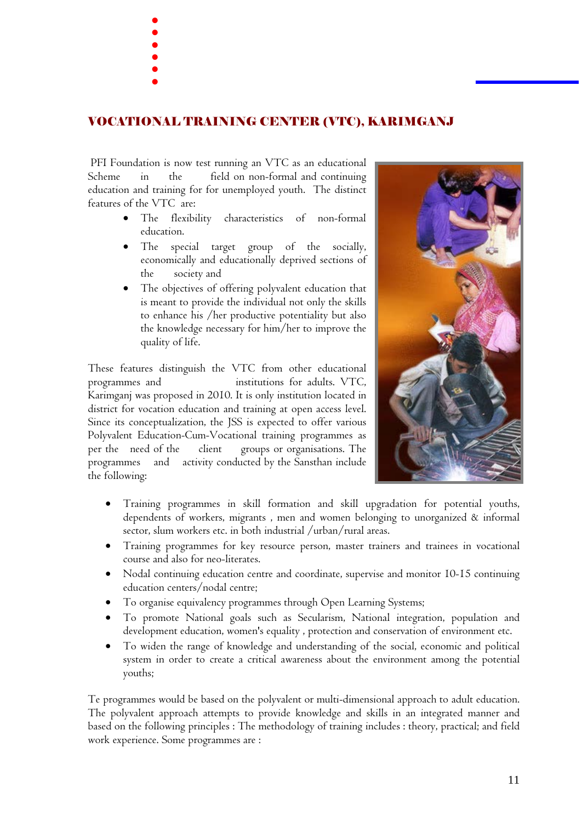- .
- .<br>.<br>.
- .<br>.<br>. .<br>.<br>.
- .<br>.<br>.
- .<br>.<br>.

## VOCATIONAL TRAINING CENTER (VTC), KARIMGANJ

PFI Foundation is now test running an VTC as an educational Scheme in the field on non-formal and continuing education and training for for unemployed youth. The distinct features of the VTC are:

- The flexibility characteristics of non-formal education.
- The special target group of the socially, economically and educationally deprived sections of the society and
- The objectives of offering polyvalent education that is meant to provide the individual not only the skills to enhance his /her productive potentiality but also the knowledge necessary for him/her to improve the quality of life.

These features distinguish the VTC from other educational programmes and institutions for adults. VTC, Karimganj was proposed in 2010. It is only institution located in district for vocation education and training at open access level. Since its conceptualization, the JSS is expected to offer various Polyvalent Education-Cum-Vocational training programmes as per the need of the client groups or organisations. The programmes and activity conducted by the Sansthan include the following:



- Training programmes in skill formation and skill upgradation for potential youths, dependents of workers, migrants , men and women belonging to unorganized & informal sector, slum workers etc. in both industrial /urban/rural areas.
- Training programmes for key resource person, master trainers and trainees in vocational course and also for neo-literates.
- Nodal continuing education centre and coordinate, supervise and monitor 10-15 continuing education centers/nodal centre;
- To organise equivalency programmes through Open Learning Systems;
- To promote National goals such as Secularism, National integration, population and development education, women's equality , protection and conservation of environment etc.
- To widen the range of knowledge and understanding of the social, economic and political system in order to create a critical awareness about the environment among the potential youths;

Te programmes would be based on the polyvalent or multi-dimensional approach to adult education. The polyvalent approach attempts to provide knowledge and skills in an integrated manner and based on the following principles : The methodology of training includes : theory, practical; and field work experience. Some programmes are :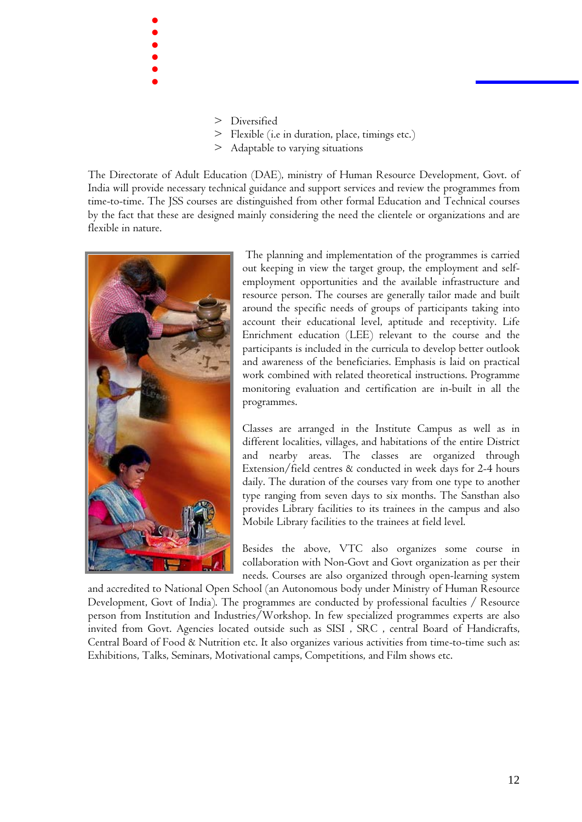- > Diversified
- > Flexible (i.e in duration, place, timings etc.)
- > Adaptable to varying situations

The Directorate of Adult Education (DAE), ministry of Human Resource Development, Govt. of India will provide necessary technical guidance and support services and review the programmes from time-to-time. The JSS courses are distinguished from other formal Education and Technical courses by the fact that these are designed mainly considering the need the clientele or organizations and are flexible in nature.



. .<br>.<br>. .<br>.<br>. .<br>.<br>. .<br>.<br>. .<br>.<br>.

> The planning and implementation of the programmes is carried out keeping in view the target group, the employment and selfemployment opportunities and the available infrastructure and resource person. The courses are generally tailor made and built around the specific needs of groups of participants taking into account their educational level, aptitude and receptivity. Life Enrichment education (LEE) relevant to the course and the participants is included in the curricula to develop better outlook and awareness of the beneficiaries. Emphasis is laid on practical work combined with related theoretical instructions. Programme monitoring evaluation and certification are in-built in all the programmes.

> Classes are arranged in the Institute Campus as well as in different localities, villages, and habitations of the entire District and nearby areas. The classes are organized through Extension/field centres & conducted in week days for 2-4 hours daily. The duration of the courses vary from one type to another type ranging from seven days to six months. The Sansthan also provides Library facilities to its trainees in the campus and also Mobile Library facilities to the trainees at field level.

> Besides the above, VTC also organizes some course in collaboration with Non-Govt and Govt organization as per their needs. Courses are also organized through open-learning system

and accredited to National Open School (an Autonomous body under Ministry of Human Resource Development, Govt of India). The programmes are conducted by professional faculties / Resource person from Institution and Industries/Workshop. In few specialized programmes experts are also invited from Govt. Agencies located outside such as SISI , SRC , central Board of Handicrafts, Central Board of Food & Nutrition etc. It also organizes various activities from time-to-time such as: Exhibitions, Talks, Seminars, Motivational camps, Competitions, and Film shows etc.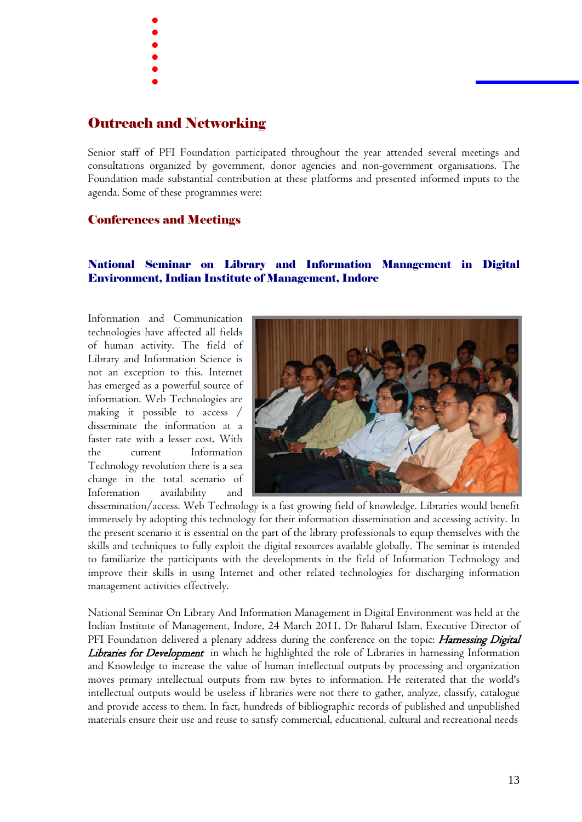- . .<br>.<br>.
- .<br>.<br>.
- .<br>.<br>. .<br>.<br>. .
- 
- 

## Outreach and Networking

Senior staff of PFI Foundation participated throughout the year attended several meetings and consultations organized by government, donor agencies and non-government organisations. The Foundation made substantial contribution at these platforms and presented informed inputs to the agenda. Some of these programmes were:

#### Conferences and Meetings

#### National Seminar on Library and Information Management in Digital Environment, Indian Institute of Management, Indore

Information and Communication technologies have affected all fields of human activity. The field of Library and Information Science is not an exception to this. Internet has emerged as a powerful source of information. Web Technologies are making it possible to access / disseminate the information at a faster rate with a lesser cost. With the current Information Technology revolution there is a sea change in the total scenario of Information availability and



dissemination/access. Web Technology is a fast growing field of knowledge. Libraries would benefit immensely by adopting this technology for their information dissemination and accessing activity. In the present scenario it is essential on the part of the library professionals to equip themselves with the skills and techniques to fully exploit the digital resources available globally. The seminar is intended to familiarize the participants with the developments in the field of Information Technology and improve their skills in using Internet and other related technologies for discharging information management activities effectively.

National Seminar On Library And Information Management in Digital Environment was held at the Indian Institute of Management, Indore, 24 March 2011. Dr Baharul Islam, Executive Director of PFI Foundation delivered a plenary address during the conference on the topic: *Harnessing Digital* Libraries for Development in which he highlighted the role of Libraries in harnessing Information and Knowledge to increase the value of human intellectual outputs by processing and organization moves primary intellectual outputs from raw bytes to information. He reiterated that the world's intellectual outputs would be useless if libraries were not there to gather, analyze, classify, catalogue and provide access to them. In fact, hundreds of bibliographic records of published and unpublished materials ensure their use and reuse to satisfy commercial, educational, cultural and recreational needs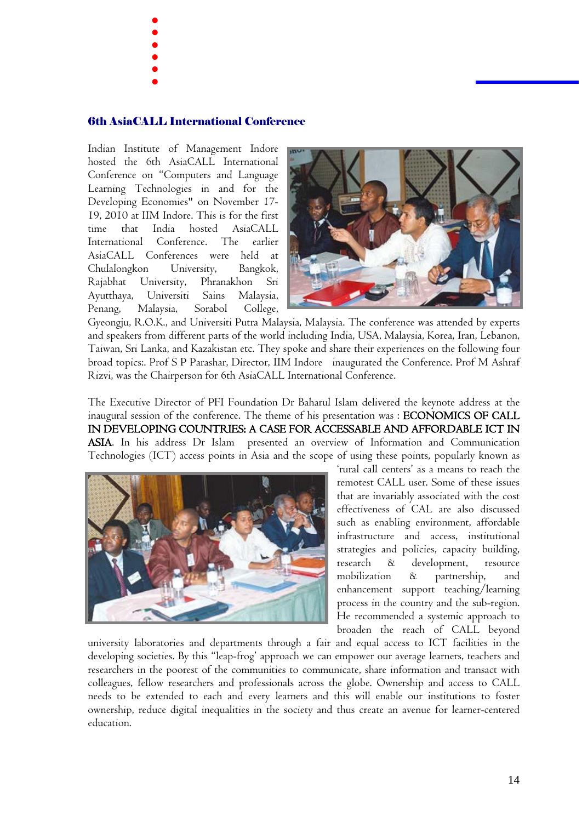- . .<br>.<br>.
	-
- .<br>.<br>. .<br>.<br>.
- .<br>.<br>. .
- 

#### 6th AsiaCALL International Conference

Indian Institute of Management Indore hosted the 6th AsiaCALL International Conference on "Computers and Language Learning Technologies in and for the Developing Economies" on November 17- 19, 2010 at IIM Indore. This is for the first time that India hosted AsiaCALL International Conference. The earlier AsiaCALL Conferences were held at Chulalongkon University, Bangkok, Rajabhat University, Phranakhon Sri Ayutthaya, Universiti Sains Malaysia, Penang, Malaysia, Sorabol College,



Gyeongju, R.O.K., and Universiti Putra Malaysia, Malaysia. The conference was attended by experts and speakers from different parts of the world including India, USA, Malaysia, Korea, Iran, Lebanon, Taiwan, Sri Lanka, and Kazakistan etc. They spoke and share their experiences on the following four broad topics:. Prof S P Parashar, Director, IIM Indore inaugurated the Conference. Prof M Ashraf Rizvi, was the Chairperson for 6th AsiaCALL International Conference.

The Executive Director of PFI Foundation Dr Baharul Islam delivered the keynote address at the inaugural session of the conference. The theme of his presentation was : ECONOMICS OF CALL IN DEVELOPING COUNTRIES: A CASE FOR ACCESSABLE AND AFFORDABLE ICT IN ASIA. In his address Dr Islam presented an overview of Information and Communication Technologies (ICT) access points in Asia and the scope of using these points, popularly known as



'rural call centers' as a means to reach the remotest CALL user. Some of these issues that are invariably associated with the cost effectiveness of CAL are also discussed such as enabling environment, affordable infrastructure and access, institutional strategies and policies, capacity building, research & development, resource mobilization & partnership, and enhancement support teaching/learning process in the country and the sub-region. He recommended a systemic approach to broaden the reach of CALL beyond

university laboratories and departments through a fair and equal access to ICT facilities in the developing societies. By this "leap-frog' approach we can empower our average learners, teachers and researchers in the poorest of the communities to communicate, share information and transact with colleagues, fellow researchers and professionals across the globe. Ownership and access to CALL needs to be extended to each and every learners and this will enable our institutions to foster ownership, reduce digital inequalities in the society and thus create an avenue for learner-centered education.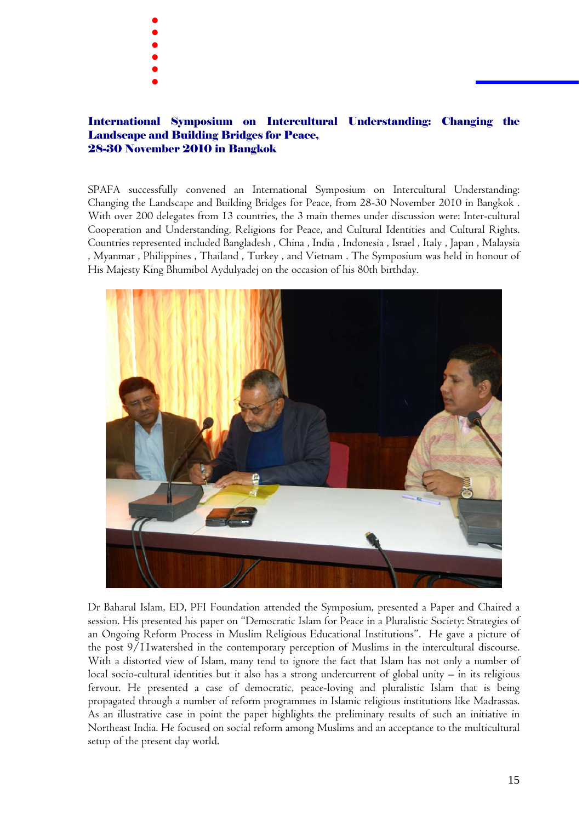- . .<br>.<br>. .<br>.<br>.
- 
- .<br>.<br>. .<br>.<br>. .
- 

#### International Symposium on Intercultural Understanding: Changing the Landscape and Building Bridges for Peace, 28-30 November 2010 in Bangkok

SPAFA successfully convened an International Symposium on Intercultural Understanding: Changing the Landscape and Building Bridges for Peace, from 28-30 November 2010 in Bangkok . With over 200 delegates from 13 countries, the 3 main themes under discussion were: Inter-cultural Cooperation and Understanding, Religions for Peace, and Cultural Identities and Cultural Rights. Countries represented included Bangladesh , China , India , Indonesia , Israel , Italy , Japan , Malaysia , Myanmar , Philippines , Thailand , Turkey , and Vietnam . The Symposium was held in honour of His Majesty King Bhumibol Aydulyadej on the occasion of his 80th birthday.



Dr Baharul Islam, ED, PFI Foundation attended the Symposium, presented a Paper and Chaired a session. His presented his paper on "Democratic Islam for Peace in a Pluralistic Society: Strategies of an Ongoing Reform Process in Muslim Religious Educational Institutions". He gave a picture of the post 9/11watershed in the contemporary perception of Muslims in the intercultural discourse. With a distorted view of Islam, many tend to ignore the fact that Islam has not only a number of local socio-cultural identities but it also has a strong undercurrent of global unity – in its religious fervour. He presented a case of democratic, peace-loving and pluralistic Islam that is being propagated through a number of reform programmes in Islamic religious institutions like Madrassas. As an illustrative case in point the paper highlights the preliminary results of such an initiative in Northeast India. He focused on social reform among Muslims and an acceptance to the multicultural setup of the present day world.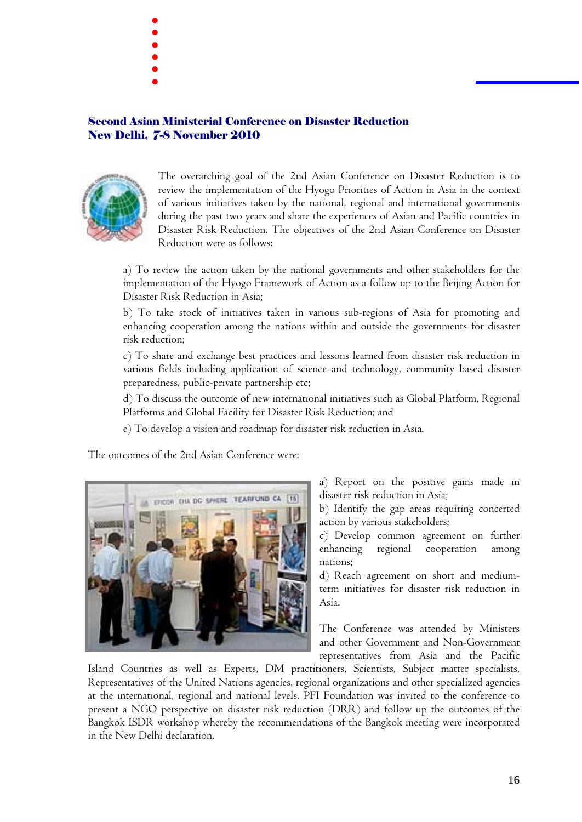- . .<br>.<br>. .<br>.<br>.
	-
- .<br>.<br>.
- .<br>.<br>. .

#### Second Asian Ministerial Conference on Disaster Reduction New Delhi, 7-8 November 2010



The overarching goal of the 2nd Asian Conference on Disaster Reduction is to review the implementation of the Hyogo Priorities of Action in Asia in the context of various initiatives taken by the national, regional and international governments during the past two years and share the experiences of Asian and Pacific countries in Disaster Risk Reduction. The objectives of the 2nd Asian Conference on Disaster Reduction were as follows:

a) To review the action taken by the national governments and other stakeholders for the implementation of the Hyogo Framework of Action as a follow up to the Beijing Action for Disaster Risk Reduction in Asia;

b) To take stock of initiatives taken in various sub-regions of Asia for promoting and enhancing cooperation among the nations within and outside the governments for disaster risk reduction;

c) To share and exchange best practices and lessons learned from disaster risk reduction in various fields including application of science and technology, community based disaster preparedness, public-private partnership etc;

d) To discuss the outcome of new international initiatives such as Global Platform, Regional Platforms and Global Facility for Disaster Risk Reduction; and

e) To develop a vision and roadmap for disaster risk reduction in Asia.

The outcomes of the 2nd Asian Conference were:



a) Report on the positive gains made in disaster risk reduction in Asia;

b) Identify the gap areas requiring concerted action by various stakeholders;

c) Develop common agreement on further enhancing regional cooperation among nations;

d) Reach agreement on short and mediumterm initiatives for disaster risk reduction in Asia.

The Conference was attended by Ministers and other Government and Non-Government representatives from Asia and the Pacific

Island Countries as well as Experts, DM practitioners, Scientists, Subject matter specialists, Representatives of the United Nations agencies, regional organizations and other specialized agencies at the international, regional and national levels. PFI Foundation was invited to the conference to present a NGO perspective on disaster risk reduction (DRR) and follow up the outcomes of the Bangkok ISDR workshop whereby the recommendations of the Bangkok meeting were incorporated in the New Delhi declaration.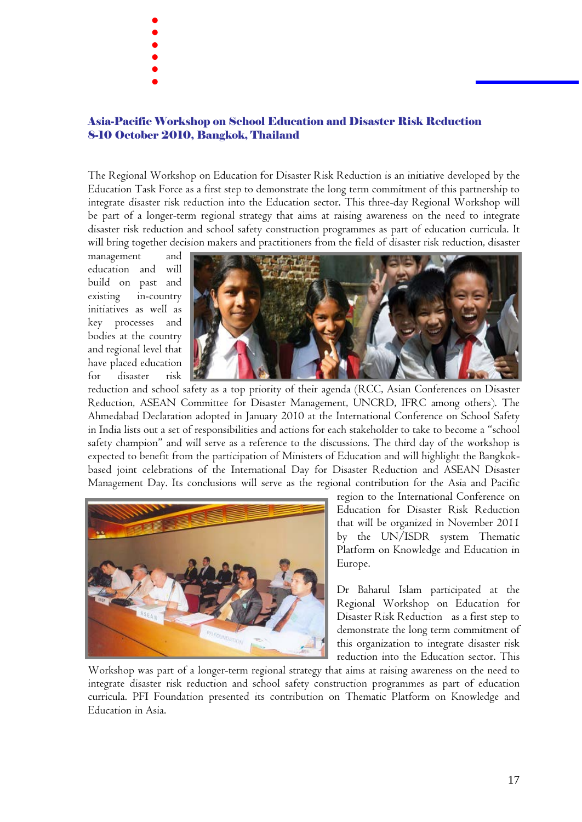- . .<br>.<br>. .<br>.<br>.
	-
- .<br>.<br>.
- .<br>.<br>. .
- 

#### Asia-Pacific Workshop on School Education and Disaster Risk Reduction 8-10 October 2010, Bangkok, Thailand

The Regional Workshop on Education for Disaster Risk Reduction is an initiative developed by the Education Task Force as a first step to demonstrate the long term commitment of this partnership to integrate disaster risk reduction into the Education sector. This three-day Regional Workshop will be part of a longer-term regional strategy that aims at raising awareness on the need to integrate disaster risk reduction and school safety construction programmes as part of education curricula. It will bring together decision makers and practitioners from the field of disaster risk reduction, disaster

management and education and will build on past and existing in-country initiatives as well as key processes and bodies at the country and regional level that have placed education for disaster risk



reduction and school safety as a top priority of their agenda (RCC, Asian Conferences on Disaster Reduction, ASEAN Committee for Disaster Management, UNCRD, IFRC among others). The Ahmedabad Declaration adopted in January 2010 at the International Conference on School Safety in India lists out a set of responsibilities and actions for each stakeholder to take to become a "school safety champion" and will serve as a reference to the discussions. The third day of the workshop is expected to benefit from the participation of Ministers of Education and will highlight the Bangkokbased joint celebrations of the International Day for Disaster Reduction and ASEAN Disaster Management Day. Its conclusions will serve as the regional contribution for the Asia and Pacific



region to the International Conference on Education for Disaster Risk Reduction that will be organized in November 2011 by the UN/ISDR system Thematic Platform on Knowledge and Education in Europe.

Dr Baharul Islam participated at the Regional Workshop on Education for Disaster Risk Reduction as a first step to demonstrate the long term commitment of this organization to integrate disaster risk reduction into the Education sector. This

Workshop was part of a longer-term regional strategy that aims at raising awareness on the need to integrate disaster risk reduction and school safety construction programmes as part of education curricula. PFI Foundation presented its contribution on Thematic Platform on Knowledge and Education in Asia.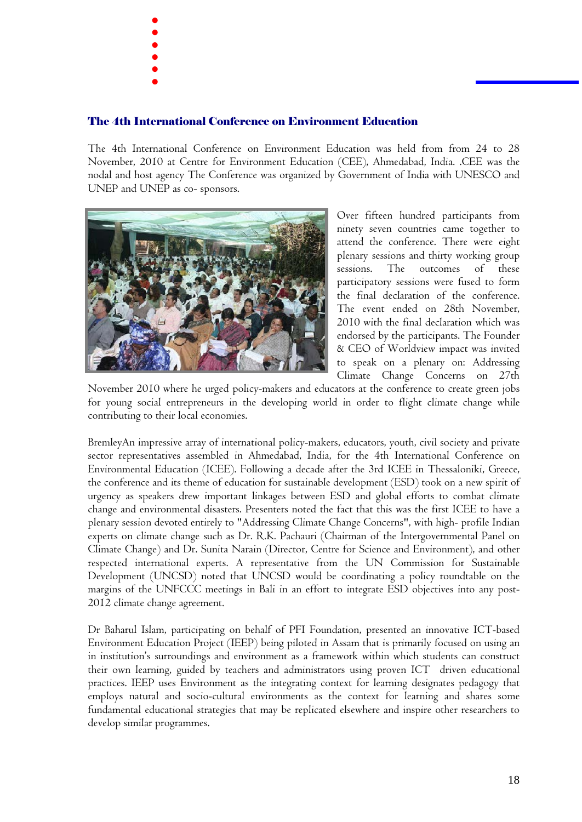- .
- .<br>.<br>. .<br>.<br>.
- 
- .<br>.<br>. .<br>.<br>. .<br>.<br>.
- 

#### The 4th International Conference on Environment Education

The 4th International Conference on Environment Education was held from from 24 to 28 November, 2010 at Centre for Environment Education (CEE), Ahmedabad, India. .CEE was the nodal and host agency The Conference was organized by Government of India with UNESCO and UNEP and UNEP as co- sponsors.



Over fifteen hundred participants from ninety seven countries came together to attend the conference. There were eight plenary sessions and thirty working group sessions. The outcomes of these participatory sessions were fused to form the final declaration of the conference. The event ended on 28th November, 2010 with the final declaration which was endorsed by the participants. The Founder & CEO of Worldview impact was invited to speak on a plenary on: Addressing Climate Change Concerns on 27th

November 2010 where he urged policy-makers and educators at the conference to create green jobs for young social entrepreneurs in the developing world in order to flight climate change while contributing to their local economies.

BremleyAn impressive array of international policy-makers, educators, youth, civil society and private sector representatives assembled in Ahmedabad, India, for the 4th International Conference on Environmental Education (ICEE). Following a decade after the 3rd ICEE in Thessaloniki, Greece, the conference and its theme of education for sustainable development (ESD) took on a new spirit of urgency as speakers drew important linkages between ESD and global efforts to combat climate change and environmental disasters. Presenters noted the fact that this was the first ICEE to have a plenary session devoted entirely to "Addressing Climate Change Concerns", with high- profile Indian experts on climate change such as Dr. R.K. Pachauri (Chairman of the Intergovernmental Panel on Climate Change) and Dr. Sunita Narain (Director, Centre for Science and Environment), and other respected international experts. A representative from the UN Commission for Sustainable Development (UNCSD) noted that UNCSD would be coordinating a policy roundtable on the margins of the UNFCCC meetings in Bali in an effort to integrate ESD objectives into any post-2012 climate change agreement.

Dr Baharul Islam, participating on behalf of PFI Foundation, presented an innovative ICT-based Environment Education Project (IEEP) being piloted in Assam that is primarily focused on using an in institution's surroundings and environment as a framework within which students can construct their own learning, guided by teachers and administrators using proven ICT driven educational practices. IEEP uses Environment as the integrating context for learning designates pedagogy that employs natural and socio-cultural environments as the context for learning and shares some fundamental educational strategies that may be replicated elsewhere and inspire other researchers to develop similar programmes.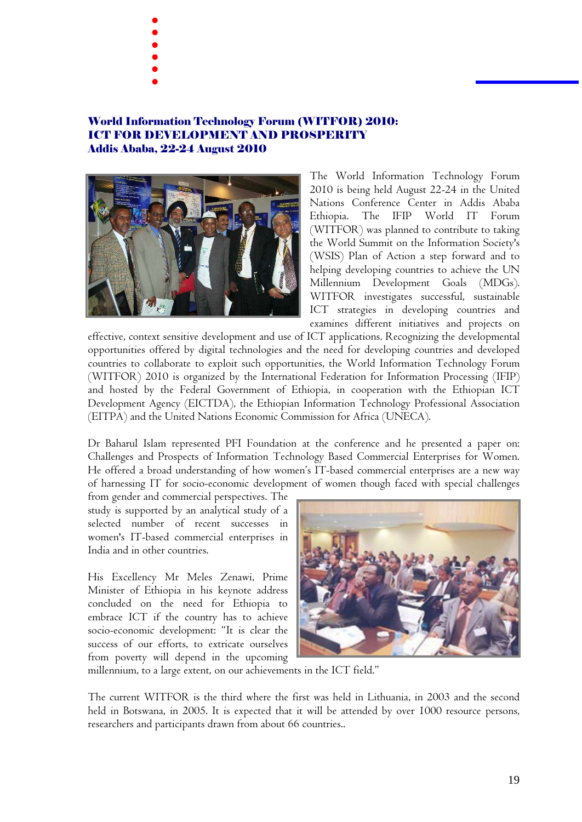- . .<br>.<br>. .<br>.<br>.
	-
- 
- .<br>.<br>. .<br>.<br>. .<br>.<br>.
- 

#### World Information Technology Forum (WITFOR) 2010: ICT FOR DEVELOPMENT AND PROSPERITY Addis Ababa, 22-24 August 2010



The World Information Technology Forum 2010 is being held August 22-24 in the United Nations Conference Center in Addis Ababa Ethiopia. The IFIP World IT Forum (WITFOR) was planned to contribute to taking the World Summit on the Information Society's (WSIS) Plan of Action a step forward and to helping developing countries to achieve the UN Millennium Development Goals (MDGs). WITFOR investigates successful, sustainable ICT strategies in developing countries and examines different initiatives and projects on

effective, context sensitive development and use of ICT applications. Recognizing the developmental opportunities offered by digital technologies and the need for developing countries and developed countries to collaborate to exploit such opportunities, the World Information Technology Forum (WITFOR) 2010 is organized by the International Federation for Information Processing (IFIP) and hosted by the Federal Government of Ethiopia, in cooperation with the Ethiopian ICT Development Agency (EICTDA), the Ethiopian Information Technology Professional Association (EITPA) and the United Nations Economic Commission for Africa (UNECA).

Dr Baharul Islam represented PFI Foundation at the conference and he presented a paper on: Challenges and Prospects of Information Technology Based Commercial Enterprises for Women. He offered a broad understanding of how women's IT-based commercial enterprises are a new way of harnessing IT for socio-economic development of women though faced with special challenges

from gender and commercial perspectives. The study is supported by an analytical study of a selected number of recent successes in women's IT-based commercial enterprises in India and in other countries.

His Excellency Mr Meles Zenawi, Prime Minister of Ethiopia in his keynote address concluded on the need for Ethiopia to embrace ICT if the country has to achieve socio-economic development: "It is clear the success of our efforts, to extricate ourselves from poverty will depend in the upcoming



millennium, to a large extent, on our achievements in the ICT field."

The current WITFOR is the third where the first was held in Lithuania, in 2003 and the second held in Botswana, in 2005. It is expected that it will be attended by over 1000 resource persons, researchers and participants drawn from about 66 countries..